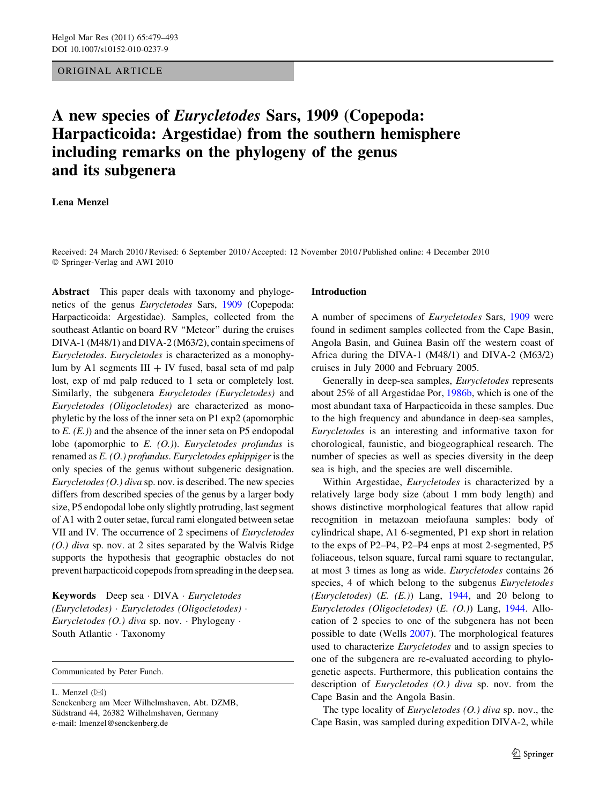## ORIGINAL ARTICLE

# A new species of Eurycletodes Sars, 1909 (Copepoda: Harpacticoida: Argestidae) from the southern hemisphere including remarks on the phylogeny of the genus and its subgenera

## Lena Menzel

Received: 24 March 2010 / Revised: 6 September 2010 / Accepted: 12 November 2010 / Published online: 4 December 2010 © Springer-Verlag and AWI 2010

Abstract This paper deals with taxonomy and phylogenetics of the genus Eurycletodes Sars, [1909](#page-14-0) (Copepoda: Harpacticoida: Argestidae). Samples, collected from the southeast Atlantic on board RV ''Meteor'' during the cruises DIVA-1 (M48/1) and DIVA-2 (M63/2), contain specimens of Eurycletodes. Eurycletodes is characterized as a monophylum by A1 segments  $III + IV$  fused, basal seta of md palp lost, exp of md palp reduced to 1 seta or completely lost. Similarly, the subgenera Eurycletodes (Eurycletodes) and Eurycletodes (Oligocletodes) are characterized as monophyletic by the loss of the inner seta on P1 exp2 (apomorphic to  $E$ .  $(E)$ ) and the absence of the inner seta on P5 endopodal lobe (apomorphic to  $E.$  (O.)). Eurycletodes profundus is renamed as E. (O.) profundus. Eurycletodes ephippiger is the only species of the genus without subgeneric designation. Eurycletodes  $(0.)$  diva sp. nov. is described. The new species differs from described species of the genus by a larger body size, P5 endopodal lobe only slightly protruding, last segment of A1 with 2 outer setae, furcal rami elongated between setae VII and IV. The occurrence of 2 specimens of Eurycletodes (O.) diva sp. nov. at 2 sites separated by the Walvis Ridge supports the hypothesis that geographic obstacles do not prevent harpacticoid copepods from spreading in the deep sea.

Keywords Deep sea · DIVA · Eurycletodes (Eurycletodes) - Eurycletodes (Oligocletodes) - Eurycletodes (O.) diva sp. nov. · Phylogeny · South Atlantic · Taxonomy

Communicated by Peter Funch.

L. Menzel  $(\boxtimes)$ 

#### Introduction

A number of specimens of Eurycletodes Sars, [1909](#page-14-0) were found in sediment samples collected from the Cape Basin, Angola Basin, and Guinea Basin off the western coast of Africa during the DIVA-1 (M48/1) and DIVA-2 (M63/2) cruises in July 2000 and February 2005.

Generally in deep-sea samples, Eurycletodes represents about 25% of all Argestidae Por, [1986b,](#page-14-0) which is one of the most abundant taxa of Harpacticoida in these samples. Due to the high frequency and abundance in deep-sea samples, Eurycletodes is an interesting and informative taxon for chorological, faunistic, and biogeographical research. The number of species as well as species diversity in the deep sea is high, and the species are well discernible.

Within Argestidae, Eurycletodes is characterized by a relatively large body size (about 1 mm body length) and shows distinctive morphological features that allow rapid recognition in metazoan meiofauna samples: body of cylindrical shape, A1 6-segmented, P1 exp short in relation to the exps of P2–P4, P2–P4 enps at most 2-segmented, P5 foliaceous, telson square, furcal rami square to rectangular, at most 3 times as long as wide. Eurycletodes contains 26 species, 4 of which belong to the subgenus Eurycletodes (Eurycletodes)  $(E. (E.))$  Lang, [1944,](#page-14-0) and 20 belong to Eurycletodes (Oligocletodes) (E. (O.)) Lang, [1944](#page-14-0). Allocation of 2 species to one of the subgenera has not been possible to date (Wells [2007\)](#page-14-0). The morphological features used to characterize Eurycletodes and to assign species to one of the subgenera are re-evaluated according to phylogenetic aspects. Furthermore, this publication contains the description of Eurycletodes (O.) diva sp. nov. from the Cape Basin and the Angola Basin.

The type locality of *Eurycletodes*  $(0.)$  diva sp. nov., the Cape Basin, was sampled during expedition DIVA-2, while

Senckenberg am Meer Wilhelmshaven, Abt. DZMB, Südstrand 44, 26382 Wilhelmshaven, Germany e-mail: lmenzel@senckenberg.de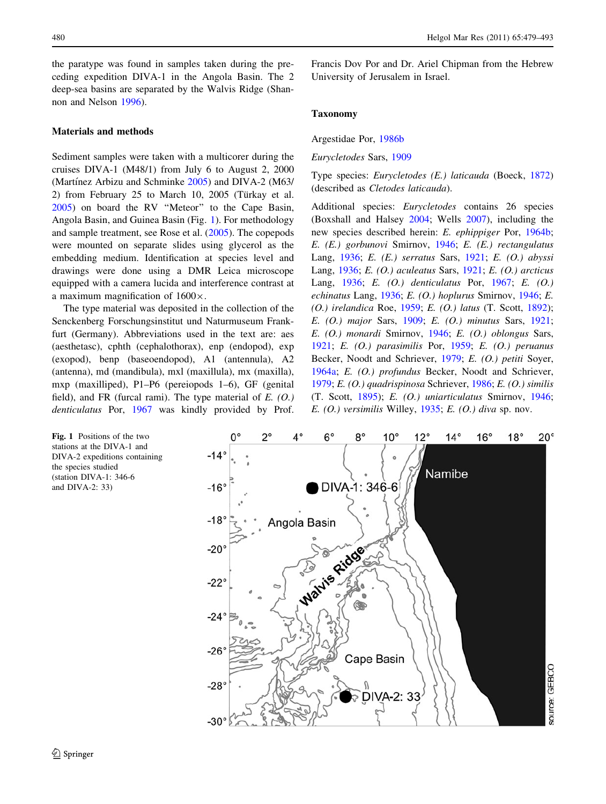<span id="page-1-0"></span>the paratype was found in samples taken during the preceding expedition DIVA-1 in the Angola Basin. The 2 deep-sea basins are separated by the Walvis Ridge (Shannon and Nelson [1996\)](#page-14-0).

#### Materials and methods

Sediment samples were taken with a multicorer during the cruises DIVA-1 (M48/1) from July 6 to August 2, 2000 (Martínez Arbizu and Schminke [2005](#page-14-0)) and DIVA-2 (M63/ 2) from February 25 to March 10, 2005 (Türkay et al. [2005\)](#page-14-0) on board the RV ''Meteor'' to the Cape Basin, Angola Basin, and Guinea Basin (Fig. 1). For methodology and sample treatment, see Rose et al. ([2005\)](#page-14-0). The copepods were mounted on separate slides using glycerol as the embedding medium. Identification at species level and drawings were done using a DMR Leica microscope equipped with a camera lucida and interference contrast at a maximum magnification of  $1600 \times$ .

The type material was deposited in the collection of the Senckenberg Forschungsinstitut und Naturmuseum Frankfurt (Germany). Abbreviations used in the text are: aes (aesthetasc), cphth (cephalothorax), enp (endopod), exp (exopod), benp (baseoendopod), A1 (antennula), A2 (antenna), md (mandibula), mxl (maxillula), mx (maxilla), mxp (maxilliped), P1–P6 (pereiopods 1–6), GF (genital field), and FR (furcal rami). The type material of  $E. (O.)$ denticulatus Por, [1967](#page-14-0) was kindly provided by Prof.

Francis Dov Por and Dr. Ariel Chipman from the Hebrew University of Jerusalem in Israel.

#### Taxonomy

Argestidae Por, [1986b](#page-14-0)

Eurycletodes Sars, [1909](#page-14-0)

Type species: Eurycletodes (E.) laticauda (Boeck, [1872\)](#page-13-0) (described as Cletodes laticauda).

Additional species: Eurycletodes contains 26 species (Boxshall and Halsey [2004](#page-13-0); Wells [2007](#page-14-0)), including the new species described herein: E. ephippiger Por, [1964b](#page-14-0); E. (E.) gorbunovi Smirnov, [1946;](#page-14-0) E. (E.) rectangulatus Lang, [1936;](#page-14-0) E. (E.) serratus Sars, [1921](#page-14-0); E. (O.) abyssi Lang, [1936](#page-14-0); E. (O.) aculeatus Sars, [1921](#page-14-0); E. (O.) arcticus Lang, [1936;](#page-14-0) E. (O.) denticulatus Por, [1967;](#page-14-0) E. (O.) echinatus Lang, [1936;](#page-14-0) E. (O.) hoplurus Smirnov, [1946;](#page-14-0) E. (O.) irelandica Roe, [1959](#page-14-0); E. (O.) latus (T. Scott, [1892](#page-14-0)); E. (O.) major Sars, [1909;](#page-14-0) E. (O.) minutus Sars, [1921](#page-14-0); E. (O.) monardi Smirnov, [1946](#page-14-0); E. (O.) oblongus Sars, [1921](#page-14-0); E. (O.) parasimilis Por, [1959;](#page-14-0) E. (O.) peruanus Becker, Noodt and Schriever, [1979;](#page-13-0) E. (O.) petiti Soyer, [1964a;](#page-14-0) E. (O.) profundus Becker, Noodt and Schriever, [1979](#page-13-0); E. (O.) quadrispinosa Schriever, [1986](#page-14-0); E. (O.) similis (T. Scott, [1895\)](#page-14-0); E. (O.) uniarticulatus Smirnov, [1946](#page-14-0); E.  $(O.)$  versimilis Willey, [1935](#page-14-0); E.  $(O.)$  diva sp. nov.

Fig. 1 Positions of the two stations at the DIVA-1 and DIVA-2 expeditions containing the species studied (station DIVA-1: 346-6 and DIVA-2: 33)

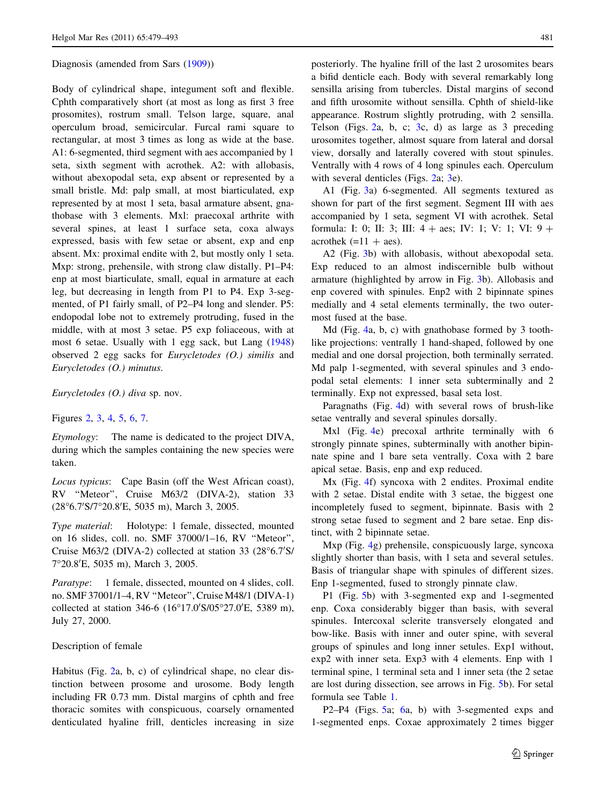#### Diagnosis (amended from Sars ([1909\)](#page-14-0))

Body of cylindrical shape, integument soft and flexible. Cphth comparatively short (at most as long as first 3 free prosomites), rostrum small. Telson large, square, anal operculum broad, semicircular. Furcal rami square to rectangular, at most 3 times as long as wide at the base. A1: 6-segmented, third segment with aes accompanied by 1 seta, sixth segment with acrothek. A2: with allobasis, without abexopodal seta, exp absent or represented by a small bristle. Md: palp small, at most biarticulated, exp represented by at most 1 seta, basal armature absent, gnathobase with 3 elements. Mxl: praecoxal arthrite with several spines, at least 1 surface seta, coxa always expressed, basis with few setae or absent, exp and enp absent. Mx: proximal endite with 2, but mostly only 1 seta. Mxp: strong, prehensile, with strong claw distally. P1–P4: enp at most biarticulate, small, equal in armature at each leg, but decreasing in length from P1 to P4. Exp 3-segmented, of P1 fairly small, of P2–P4 long and slender. P5: endopodal lobe not to extremely protruding, fused in the middle, with at most 3 setae. P5 exp foliaceous, with at most 6 setae. Usually with 1 egg sack, but Lang ([1948\)](#page-14-0) observed 2 egg sacks for Eurycletodes (O.) similis and Eurycletodes (O.) minutus.

Eurycletodes (O.) diva sp. nov.

### Figures [2](#page-3-0), [3](#page-4-0), [4,](#page-5-0) [5,](#page-6-0) [6](#page-8-0), [7](#page-9-0).

Etymology: The name is dedicated to the project DIVA, during which the samples containing the new species were taken.

Locus typicus: Cape Basin (off the West African coast), RV ''Meteor'', Cruise M63/2 (DIVA-2), station 33 (28°6.7'S/7°20.8'E, 5035 m), March 3, 2005.

Type material: Holotype: 1 female, dissected, mounted on 16 slides, coll. no. SMF 37000/1–16, RV ''Meteor'', Cruise M63/2 (DIVA-2) collected at station 33 (28°6.7'S/ 7°20.8'E, 5035 m), March 3, 2005.

Paratype: 1 female, dissected, mounted on 4 slides, coll. no. SMF 37001/1–4, RV ''Meteor'', Cruise M48/1 (DIVA-1) collected at station 346-6 (16°17.0'S/05°27.0'E, 5389 m), July 27, 2000.

## Description of female

Habitus (Fig. [2a](#page-3-0), b, c) of cylindrical shape, no clear distinction between prosome and urosome. Body length including FR 0.73 mm. Distal margins of cphth and free thoracic somites with conspicuous, coarsely ornamented denticulated hyaline frill, denticles increasing in size posteriorly. The hyaline frill of the last 2 urosomites bears a bifid denticle each. Body with several remarkably long sensilla arising from tubercles. Distal margins of second and fifth urosomite without sensilla. Cphth of shield-like appearance. Rostrum slightly protruding, with 2 sensilla. Telson (Figs. [2](#page-3-0)a, b, c; [3c](#page-4-0), d) as large as 3 preceding urosomites together, almost square from lateral and dorsal view, dorsally and laterally covered with stout spinules. Ventrally with 4 rows of 4 long spinules each. Operculum with several denticles (Figs. [2](#page-3-0)a; [3e](#page-4-0)).

A1 (Fig. [3a](#page-4-0)) 6-segmented. All segments textured as shown for part of the first segment. Segment III with aes accompanied by 1 seta, segment VI with acrothek. Setal formula: I: 0; II: 3; III:  $4 + \text{aes}$ ; IV: 1; V: 1; VI:  $9 +$ acrothek  $(=11 + aes)$ .

A2 (Fig. [3b](#page-4-0)) with allobasis, without abexopodal seta. Exp reduced to an almost indiscernible bulb without armature (highlighted by arrow in Fig. [3](#page-4-0)b). Allobasis and enp covered with spinules. Enp2 with 2 bipinnate spines medially and 4 setal elements terminally, the two outermost fused at the base.

Md (Fig. [4](#page-5-0)a, b, c) with gnathobase formed by 3 toothlike projections: ventrally 1 hand-shaped, followed by one medial and one dorsal projection, both terminally serrated. Md palp 1-segmented, with several spinules and 3 endopodal setal elements: 1 inner seta subterminally and 2 terminally. Exp not expressed, basal seta lost.

Paragnaths (Fig. [4](#page-5-0)d) with several rows of brush-like setae ventrally and several spinules dorsally.

Mxl (Fig. [4](#page-5-0)e) precoxal arthrite terminally with 6 strongly pinnate spines, subterminally with another bipinnate spine and 1 bare seta ventrally. Coxa with 2 bare apical setae. Basis, enp and exp reduced.

Mx (Fig. [4](#page-5-0)f) syncoxa with 2 endites. Proximal endite with 2 setae. Distal endite with 3 setae, the biggest one incompletely fused to segment, bipinnate. Basis with 2 strong setae fused to segment and 2 bare setae. Enp distinct, with 2 bipinnate setae.

Mxp (Fig. [4g](#page-5-0)) prehensile, conspicuously large, syncoxa slightly shorter than basis, with 1 seta and several setules. Basis of triangular shape with spinules of different sizes. Enp 1-segmented, fused to strongly pinnate claw.

P1 (Fig. [5b](#page-6-0)) with 3-segmented exp and 1-segmented enp. Coxa considerably bigger than basis, with several spinules. Intercoxal sclerite transversely elongated and bow-like. Basis with inner and outer spine, with several groups of spinules and long inner setules. Exp1 without, exp2 with inner seta. Exp3 with 4 elements. Enp with 1 terminal spine, 1 terminal seta and 1 inner seta (the 2 setae are lost during dissection, see arrows in Fig. [5b](#page-6-0)). For setal formula see Table [1](#page-7-0).

P2–P4 (Figs. [5](#page-6-0)a; [6](#page-8-0)a, b) with 3-segmented exps and 1-segmented enps. Coxae approximately 2 times bigger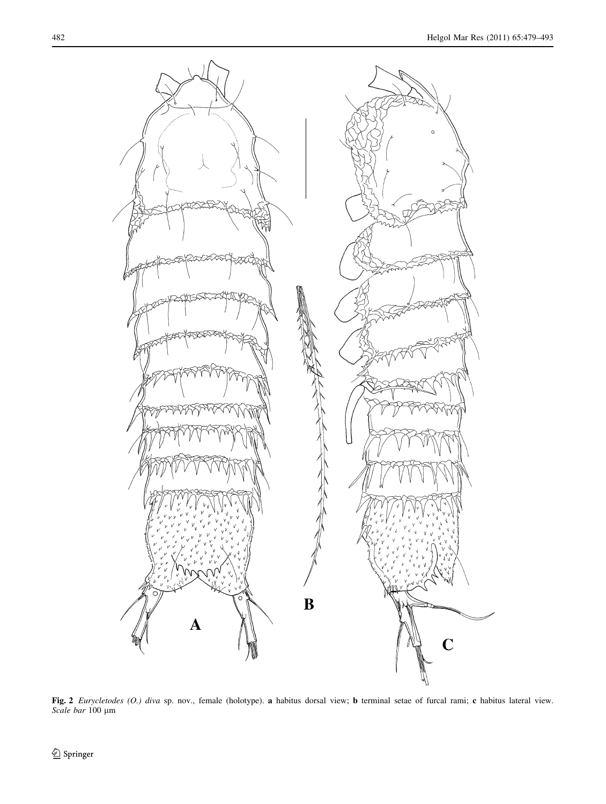<span id="page-3-0"></span>

Fig. 2 Eurycletodes (O.) diva sp. nov., female (holotype). a habitus dorsal view; b terminal setae of furcal rami; c habitus lateral view. Scale bar 100 µm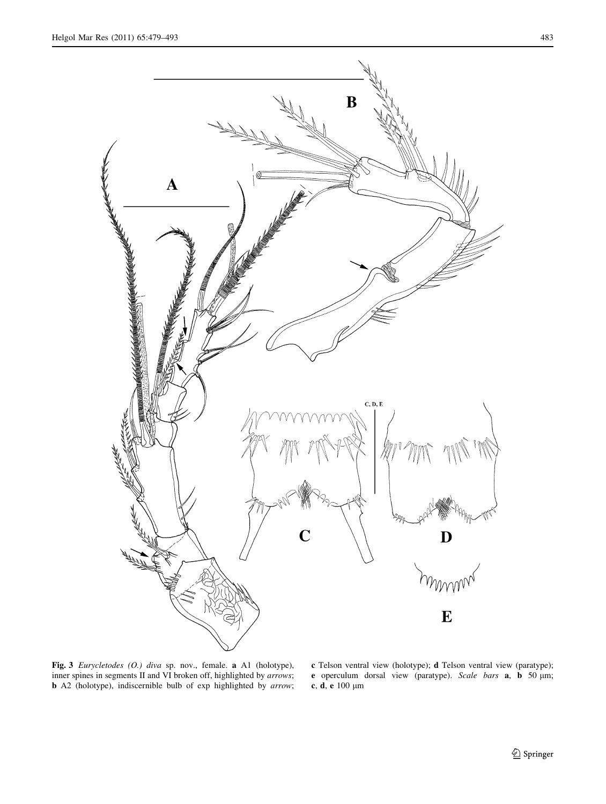<span id="page-4-0"></span>

Fig. 3 Eurycletodes (O.) diva sp. nov., female. a A1 (holotype), inner spines in segments II and VI broken off, highlighted by arrows; b A2 (holotype), indiscernible bulb of exp highlighted by arrow;

c Telson ventral view (holotype); d Telson ventral view (paratype); e operculum dorsal view (paratype). Scale bars **a**, **b** 50 µm; c, d, e $100~\mu\mathrm{m}$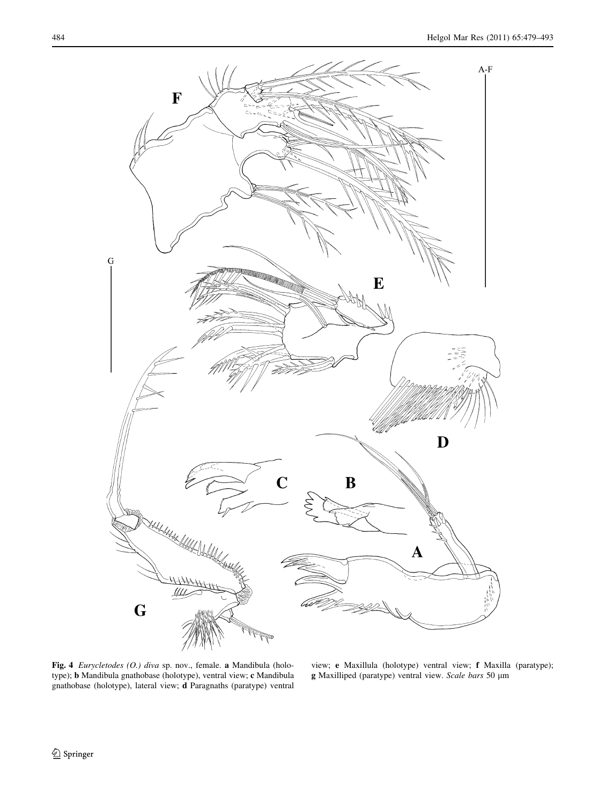<span id="page-5-0"></span>

Fig. 4 Eurycletodes (O.) diva sp. nov., female. a Mandibula (holotype); b Mandibula gnathobase (holotype), ventral view; c Mandibula gnathobase (holotype), lateral view; d Paragnaths (paratype) ventral

view; e Maxillula (holotype) ventral view; f Maxilla (paratype); g Maxilliped (paratype) ventral view. Scale bars 50 µm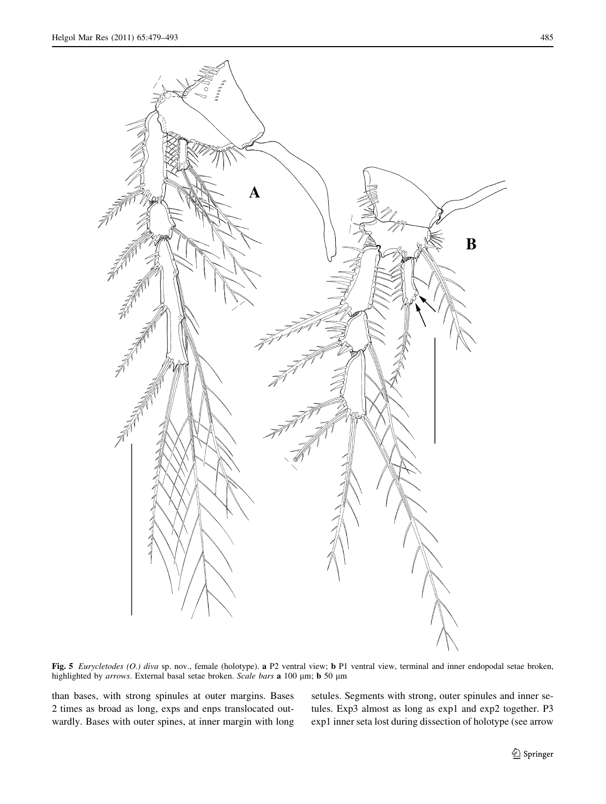<span id="page-6-0"></span>

Fig. 5 Eurycletodes (O.) diva sp. nov., female (holotype). a P2 ventral view; b P1 ventral view, terminal and inner endopodal setae broken, highlighted by arrows. External basal setae broken. Scale bars a 100 µm; b 50 µm

than bases, with strong spinules at outer margins. Bases 2 times as broad as long, exps and enps translocated outwardly. Bases with outer spines, at inner margin with long setules. Segments with strong, outer spinules and inner setules. Exp3 almost as long as exp1 and exp2 together. P3 exp1 inner seta lost during dissection of holotype (see arrow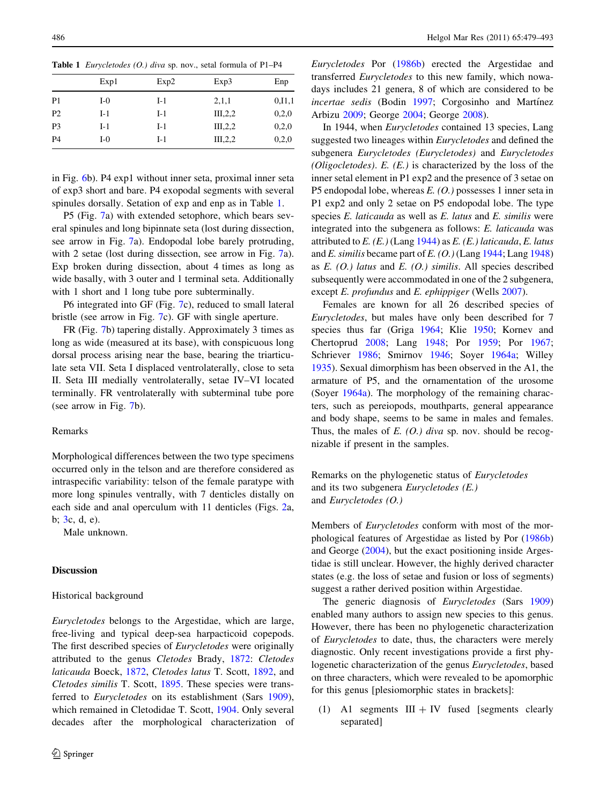<span id="page-7-0"></span>

|  |  | <b>Table 1</b> <i>Eurycletodes (O.) diva sp. nov., setal formula of P1-P4</i> |  |
|--|--|-------------------------------------------------------------------------------|--|
|--|--|-------------------------------------------------------------------------------|--|

|                | Exp1  | Exp2  | Exp3               | Enp      |
|----------------|-------|-------|--------------------|----------|
| P1             | $I-0$ | $I-1$ | 2,1,1              | 0, 11, 1 |
| P <sub>2</sub> | $I-1$ | $I-1$ | III <sub>2,2</sub> | 0.2,0    |
| P <sub>3</sub> | $I-1$ | $I-1$ | III, 2, 2          | 0,2,0    |
| P <sub>4</sub> | $I-0$ | $I-1$ | III, 2, 2          | 0.2,0    |
|                |       |       |                    |          |

in Fig. [6b](#page-8-0)). P4 exp1 without inner seta, proximal inner seta of exp3 short and bare. P4 exopodal segments with several spinules dorsally. Setation of exp and enp as in Table 1.

P5 (Fig. [7a](#page-9-0)) with extended setophore, which bears several spinules and long bipinnate seta (lost during dissection, see arrow in Fig. [7a](#page-9-0)). Endopodal lobe barely protruding, with 2 setae (lost during dissection, see arrow in Fig. [7a](#page-9-0)). Exp broken during dissection, about 4 times as long as wide basally, with 3 outer and 1 terminal seta. Additionally with 1 short and 1 long tube pore subterminally.

P6 integrated into GF (Fig. [7c](#page-9-0)), reduced to small lateral bristle (see arrow in Fig. [7c](#page-9-0)). GF with single aperture.

FR (Fig. [7](#page-9-0)b) tapering distally. Approximately 3 times as long as wide (measured at its base), with conspicuous long dorsal process arising near the base, bearing the triarticulate seta VII. Seta I displaced ventrolaterally, close to seta II. Seta III medially ventrolaterally, setae IV–VI located terminally. FR ventrolaterally with subterminal tube pore (see arrow in Fig. [7](#page-9-0)b).

#### Remarks

Morphological differences between the two type specimens occurred only in the telson and are therefore considered as intraspecific variability: telson of the female paratype with more long spinules ventrally, with 7 denticles distally on each side and anal operculum with 11 denticles (Figs. [2](#page-3-0)a, b; [3](#page-4-0)c, d, e).

Male unknown.

## Discussion

#### Historical background

Eurycletodes belongs to the Argestidae, which are large, free-living and typical deep-sea harpacticoid copepods. The first described species of *Eurycletodes* were originally attributed to the genus Cletodes Brady, [1872](#page-13-0): Cletodes laticauda Boeck, [1872,](#page-13-0) Cletodes latus T. Scott, [1892,](#page-14-0) and Cletodes similis T. Scott, [1895.](#page-14-0) These species were transferred to *Eurycletodes* on its establishment (Sars [1909](#page-14-0)), which remained in Cletodidae T. Scott, [1904.](#page-14-0) Only several decades after the morphological characterization of Eurycletodes Por [\(1986b](#page-14-0)) erected the Argestidae and transferred Eurycletodes to this new family, which nowadays includes 21 genera, 8 of which are considered to be incertae sedis (Bodin [1997](#page-13-0); Corgosinho and Martínez Arbizu [2009](#page-13-0); George [2004](#page-13-0); George [2008\)](#page-13-0).

In 1944, when Eurycletodes contained 13 species, Lang suggested two lineages within Eurycletodes and defined the subgenera Eurycletodes (Eurycletodes) and Eurycletodes (*Oligocletodes*).  $E$ .  $(E)$  is characterized by the loss of the inner setal element in P1 exp2 and the presence of 3 setae on P5 endopodal lobe, whereas  $E(0)$  possesses 1 inner seta in P1 exp2 and only 2 setae on P5 endopodal lobe. The type species E. laticauda as well as E. latus and E. similis were integrated into the subgenera as follows: E. laticauda was attributed to  $E$ . (E.) (Lang [1944](#page-14-0)) as  $E$ . (E.) laticauda, E. latus and E. similis became part of E.  $(O.)$  (Lang [1944](#page-14-0); Lang [1948\)](#page-14-0) as  $E. (O.)$  latus and  $E. (O.)$  similis. All species described subsequently were accommodated in one of the 2 subgenera, except *E. profundus* and *E. ephippiger* (Wells [2007](#page-14-0)).

Females are known for all 26 described species of Eurycletodes, but males have only been described for 7 species thus far (Griga [1964;](#page-13-0) Klie [1950](#page-13-0); Kornev and Chertoprud [2008](#page-14-0); Lang [1948;](#page-14-0) Por [1959;](#page-14-0) Por [1967](#page-14-0); Schriever [1986](#page-14-0); Smirnov [1946;](#page-14-0) Soyer [1964a](#page-14-0); Willey [1935](#page-14-0)). Sexual dimorphism has been observed in the A1, the armature of P5, and the ornamentation of the urosome (Soyer [1964a\)](#page-14-0). The morphology of the remaining characters, such as pereiopods, mouthparts, general appearance and body shape, seems to be same in males and females. Thus, the males of  $E$ . (O.) diva sp. nov. should be recognizable if present in the samples.

Remarks on the phylogenetic status of Eurycletodes and its two subgenera Eurycletodes (E.) and Eurycletodes (O.)

Members of Eurycletodes conform with most of the morphological features of Argestidae as listed by Por ([1986b\)](#page-14-0) and George [\(2004\)](#page-13-0), but the exact positioning inside Argestidae is still unclear. However, the highly derived character states (e.g. the loss of setae and fusion or loss of segments) suggest a rather derived position within Argestidae.

The generic diagnosis of Eurycletodes (Sars [1909\)](#page-14-0) enabled many authors to assign new species to this genus. However, there has been no phylogenetic characterization of Eurycletodes to date, thus, the characters were merely diagnostic. Only recent investigations provide a first phylogenetic characterization of the genus Eurycletodes, based on three characters, which were revealed to be apomorphic for this genus [plesiomorphic states in brackets]:

(1) A1 segments  $III + IV$  fused [segments clearly separated]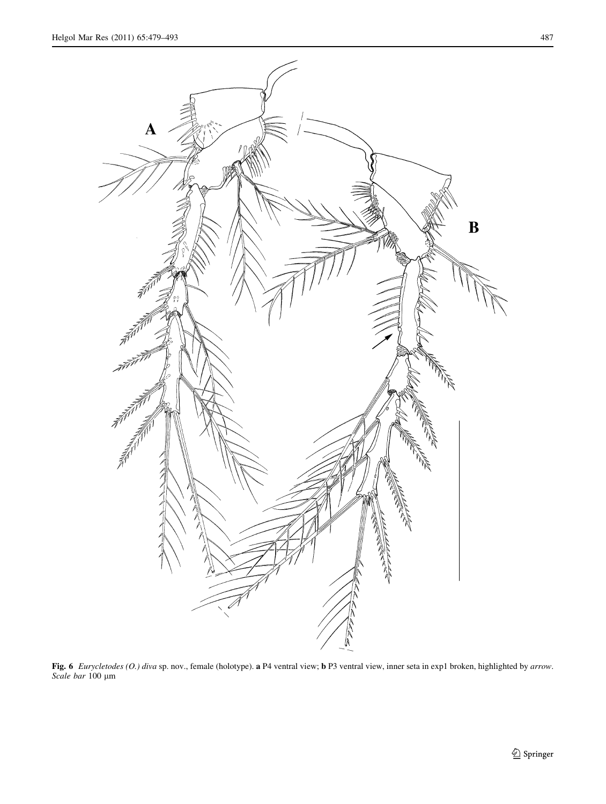<span id="page-8-0"></span>

Fig. 6 Eurycletodes (O.) diva sp. nov., female (holotype). a P4 ventral view; b P3 ventral view, inner seta in exp1 broken, highlighted by arrow. Scale bar 100 µm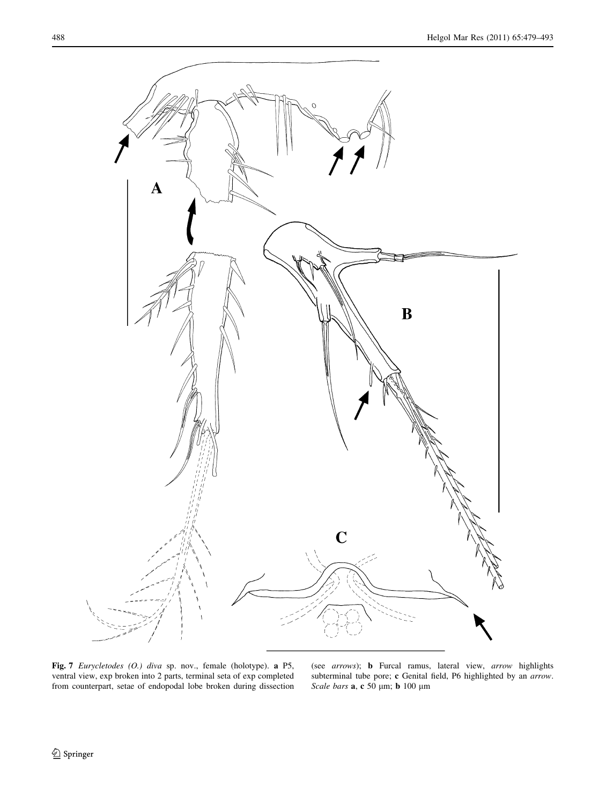<span id="page-9-0"></span>

Fig. 7 Eurycletodes (O.) diva sp. nov., female (holotype). a P5, ventral view, exp broken into 2 parts, terminal seta of exp completed from counterpart, setae of endopodal lobe broken during dissection

(see arrows); b Furcal ramus, lateral view, arrow highlights subterminal tube pore; c Genital field, P6 highlighted by an arrow. Scale bars  ${\bf a},\, {\bf c}$ 50 µm; b 100 µm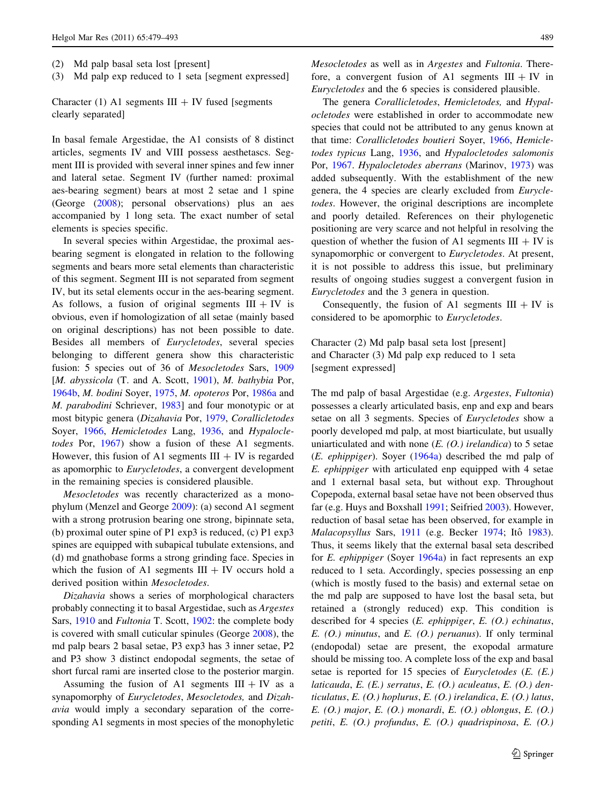- (2) Md palp basal seta lost [present]
- (3) Md palp exp reduced to 1 seta [segment expressed]

Character (1) A1 segments  $III + IV$  fused [segments clearly separated]

In basal female Argestidae, the A1 consists of 8 distinct articles, segments IV and VIII possess aesthetascs. Segment III is provided with several inner spines and few inner and lateral setae. Segment IV (further named: proximal aes-bearing segment) bears at most 2 setae and 1 spine (George [\(2008](#page-13-0)); personal observations) plus an aes accompanied by 1 long seta. The exact number of setal elements is species specific.

In several species within Argestidae, the proximal aesbearing segment is elongated in relation to the following segments and bears more setal elements than characteristic of this segment. Segment III is not separated from segment IV, but its setal elements occur in the aes-bearing segment. As follows, a fusion of original segments  $III + IV$  is obvious, even if homologization of all setae (mainly based on original descriptions) has not been possible to date. Besides all members of Eurycletodes, several species belonging to different genera show this characteristic fusion: 5 species out of 36 of Mesocletodes Sars, [1909](#page-14-0) [M. abyssicola (T. and A. Scott, [1901\)](#page-14-0), M. bathybia Por, [1964b,](#page-14-0) M. bodini Soyer, [1975,](#page-14-0) M. opoteros Por, [1986a](#page-14-0) and M. parabodini Schriever, [1983](#page-14-0)] and four monotypic or at most bitypic genera (Dizahavia Por, [1979,](#page-14-0) Corallicletodes Soyer, [1966,](#page-14-0) Hemicletodes Lang, [1936](#page-14-0), and Hypalocle-todes Por, [1967\)](#page-14-0) show a fusion of these A1 segments. However, this fusion of A1 segments  $III + IV$  is regarded as apomorphic to Eurycletodes, a convergent development in the remaining species is considered plausible.

Mesocletodes was recently characterized as a monophylum (Menzel and George [2009\)](#page-14-0): (a) second A1 segment with a strong protrusion bearing one strong, bipinnate seta, (b) proximal outer spine of P1 exp3 is reduced, (c) P1 exp3 spines are equipped with subapical tubulate extensions, and (d) md gnathobase forms a strong grinding face. Species in which the fusion of A1 segments  $III + IV$  occurs hold a derived position within Mesocletodes.

Dizahavia shows a series of morphological characters probably connecting it to basal Argestidae, such as Argestes Sars, [1910](#page-14-0) and Fultonia T. Scott, [1902:](#page-14-0) the complete body is covered with small cuticular spinules (George [2008](#page-13-0)), the md palp bears 2 basal setae, P3 exp3 has 3 inner setae, P2 and P3 show 3 distinct endopodal segments, the setae of short furcal rami are inserted close to the posterior margin.

Assuming the fusion of A1 segments  $III + IV$  as a synapomorphy of Eurycletodes, Mesocletodes, and Dizahavia would imply a secondary separation of the corresponding A1 segments in most species of the monophyletic Mesocletodes as well as in Argestes and Fultonia. Therefore, a convergent fusion of A1 segments  $III + IV$  in Eurycletodes and the 6 species is considered plausible.

The genera Corallicletodes, Hemicletodes, and Hypalocletodes were established in order to accommodate new species that could not be attributed to any genus known at that time: Corallicletodes boutieri Soyer, [1966](#page-14-0), Hemicletodes typicus Lang, [1936,](#page-14-0) and Hypalocletodes salomonis Por, [1967](#page-14-0). Hypalocletodes aberrans (Marinov, [1973\)](#page-14-0) was added subsequently. With the establishment of the new genera, the 4 species are clearly excluded from Eurycletodes. However, the original descriptions are incomplete and poorly detailed. References on their phylogenetic positioning are very scarce and not helpful in resolving the question of whether the fusion of A1 segments  $III + IV$  is synapomorphic or convergent to Eurycletodes. At present, it is not possible to address this issue, but preliminary results of ongoing studies suggest a convergent fusion in Eurycletodes and the 3 genera in question.

Consequently, the fusion of A1 segments  $III + IV$  is considered to be apomorphic to Eurycletodes.

Character (2) Md palp basal seta lost [present] and Character (3) Md palp exp reduced to 1 seta [segment expressed]

The md palp of basal Argestidae (e.g. Argestes, Fultonia) possesses a clearly articulated basis, enp and exp and bears setae on all 3 segments. Species of Eurycletodes show a poorly developed md palp, at most biarticulate, but usually uniarticulated and with none  $(E. (O.)$  irelandica) to 5 setae (E. ephippiger). Soyer [\(1964a\)](#page-14-0) described the md palp of E. ephippiger with articulated enp equipped with 4 setae and 1 external basal seta, but without exp. Throughout Copepoda, external basal setae have not been observed thus far (e.g. Huys and Boxshall [1991;](#page-13-0) Seifried [2003\)](#page-14-0). However, reduction of basal setae has been observed, for example in Malacopsyllus Sars, [1911](#page-14-0) (e.g. Becker [1974;](#page-13-0) Itô [1983](#page-13-0)). Thus, it seems likely that the external basal seta described for E. ephippiger (Soyer [1964a](#page-14-0)) in fact represents an exp reduced to 1 seta. Accordingly, species possessing an enp (which is mostly fused to the basis) and external setae on the md palp are supposed to have lost the basal seta, but retained a (strongly reduced) exp. This condition is described for 4 species (E. ephippiger, E. (O.) echinatus,  $E. (O.)$  minutus, and  $E. (O.)$  peruanus). If only terminal (endopodal) setae are present, the exopodal armature should be missing too. A complete loss of the exp and basal setae is reported for 15 species of Eurycletodes (E. (E.) laticauda, E. (E.) serratus, E. (O.) aculeatus, E. (O.) denticulatus, E. (O.) hoplurus, E. (O.) irelandica, E. (O.) latus, E. (O.) major, E. (O.) monardi, E. (O.) oblongus, E. (O.) petiti, E. (O.) profundus, E. (O.) quadrispinosa, E. (O.)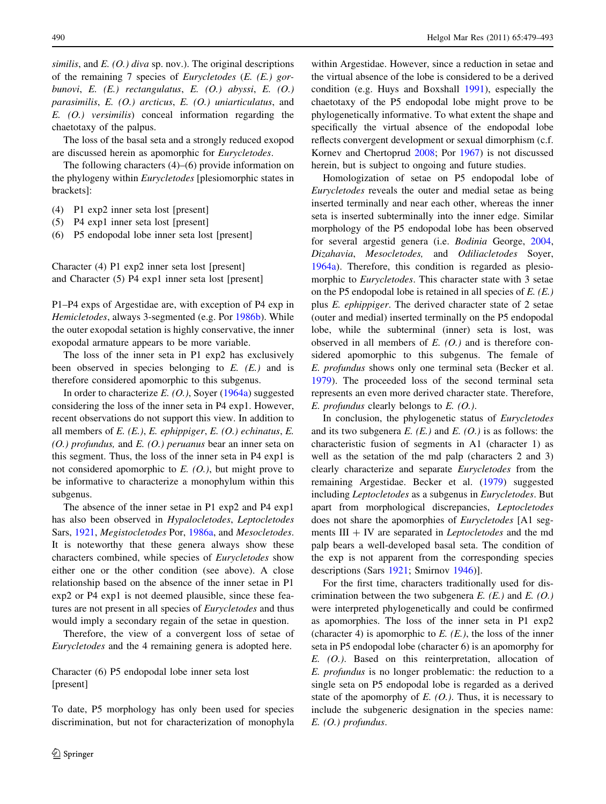similis, and  $E_{\rm t}(O)$ , diva sp. nov.). The original descriptions of the remaining 7 species of Eurycletodes (E. (E.) gorbunovi, E. (E.) rectangulatus, E. (O.) abyssi, E. (O.) parasimilis, E. (O.) arcticus, E. (O.) uniarticulatus, and E. (O.) versimilis) conceal information regarding the chaetotaxy of the palpus.

The loss of the basal seta and a strongly reduced exopod are discussed herein as apomorphic for Eurycletodes.

The following characters (4)–(6) provide information on the phylogeny within Eurycletodes [plesiomorphic states in brackets]:

- (4) P1 exp2 inner seta lost [present]
- (5) P4 exp1 inner seta lost [present]
- (6) P5 endopodal lobe inner seta lost [present]

Character (4) P1 exp2 inner seta lost [present] and Character (5) P4 exp1 inner seta lost [present]

P1–P4 exps of Argestidae are, with exception of P4 exp in Hemicletodes, always 3-segmented (e.g. Por [1986b](#page-14-0)). While the outer exopodal setation is highly conservative, the inner exopodal armature appears to be more variable.

The loss of the inner seta in P1 exp2 has exclusively been observed in species belonging to  $E$ .  $(E)$  and is therefore considered apomorphic to this subgenus.

In order to characterize  $E. (O.)$ , Soyer ([1964a\)](#page-14-0) suggested considering the loss of the inner seta in P4 exp1. However, recent observations do not support this view. In addition to all members of  $E$ . (E.),  $E$ . ephippiger,  $E$ . (O.) echinatus,  $E$ .  $(O.)$  profundus, and E.  $(O.)$  peruanus bear an inner seta on this segment. Thus, the loss of the inner seta in P4 exp1 is not considered apomorphic to  $E$ . (O.), but might prove to be informative to characterize a monophylum within this subgenus.

The absence of the inner setae in P1 exp2 and P4 exp1 has also been observed in Hypalocletodes, Leptocletodes Sars, [1921](#page-14-0), Megistocletodes Por, [1986a,](#page-14-0) and Mesocletodes. It is noteworthy that these genera always show these characters combined, while species of Eurycletodes show either one or the other condition (see above). A close relationship based on the absence of the inner setae in P1 exp2 or P4 exp1 is not deemed plausible, since these features are not present in all species of Eurycletodes and thus would imply a secondary regain of the setae in question.

Therefore, the view of a convergent loss of setae of Eurycletodes and the 4 remaining genera is adopted here.

Character (6) P5 endopodal lobe inner seta lost [present]

To date, P5 morphology has only been used for species discrimination, but not for characterization of monophyla

within Argestidae. However, since a reduction in setae and the virtual absence of the lobe is considered to be a derived condition (e.g. Huys and Boxshall [1991\)](#page-13-0), especially the chaetotaxy of the P5 endopodal lobe might prove to be phylogenetically informative. To what extent the shape and specifically the virtual absence of the endopodal lobe reflects convergent development or sexual dimorphism (c.f. Kornev and Chertoprud [2008;](#page-14-0) Por [1967\)](#page-14-0) is not discussed herein, but is subject to ongoing and future studies.

Homologization of setae on P5 endopodal lobe of Eurycletodes reveals the outer and medial setae as being inserted terminally and near each other, whereas the inner seta is inserted subterminally into the inner edge. Similar morphology of the P5 endopodal lobe has been observed for several argestid genera (i.e. Bodinia George, [2004,](#page-13-0) Dizahavia, Mesocletodes, and Odiliacletodes Soyer, [1964a\)](#page-14-0). Therefore, this condition is regarded as plesiomorphic to Eurycletodes. This character state with 3 setae on the P5 endopodal lobe is retained in all species of  $E$ .  $(E)$ . plus E. ephippiger. The derived character state of 2 setae (outer and medial) inserted terminally on the P5 endopodal lobe, while the subterminal (inner) seta is lost, was observed in all members of  $E$ . (O.) and is therefore considered apomorphic to this subgenus. The female of E. profundus shows only one terminal seta (Becker et al. [1979](#page-13-0)). The proceeded loss of the second terminal seta represents an even more derived character state. Therefore,  $E.$  profundus clearly belongs to  $E.$  (O.).

In conclusion, the phylogenetic status of Eurycletodes and its two subgenera  $E$ . (E.) and  $E$ . (O.) is as follows: the characteristic fusion of segments in A1 (character 1) as well as the setation of the md palp (characters 2 and 3) clearly characterize and separate Eurycletodes from the remaining Argestidae. Becker et al. ([1979\)](#page-13-0) suggested including Leptocletodes as a subgenus in Eurycletodes. But apart from morphological discrepancies, Leptocletodes does not share the apomorphies of Eurycletodes [A1 segments  $III + IV$  are separated in *Leptocletodes* and the md palp bears a well-developed basal seta. The condition of the exp is not apparent from the corresponding species descriptions (Sars [1921;](#page-14-0) Smirnov [1946](#page-14-0))].

For the first time, characters traditionally used for discrimination between the two subgenera  $E$ .  $(E)$  and  $E$ .  $(O)$ . were interpreted phylogenetically and could be confirmed as apomorphies. The loss of the inner seta in P1 exp2 (character 4) is apomorphic to  $E$ .  $(E)$ , the loss of the inner seta in P5 endopodal lobe (character 6) is an apomorphy for E. (O.). Based on this reinterpretation, allocation of E. profundus is no longer problematic: the reduction to a single seta on P5 endopodal lobe is regarded as a derived state of the apomorphy of  $E. (O.)$ . Thus, it is necessary to include the subgeneric designation in the species name: E. (O.) profundus.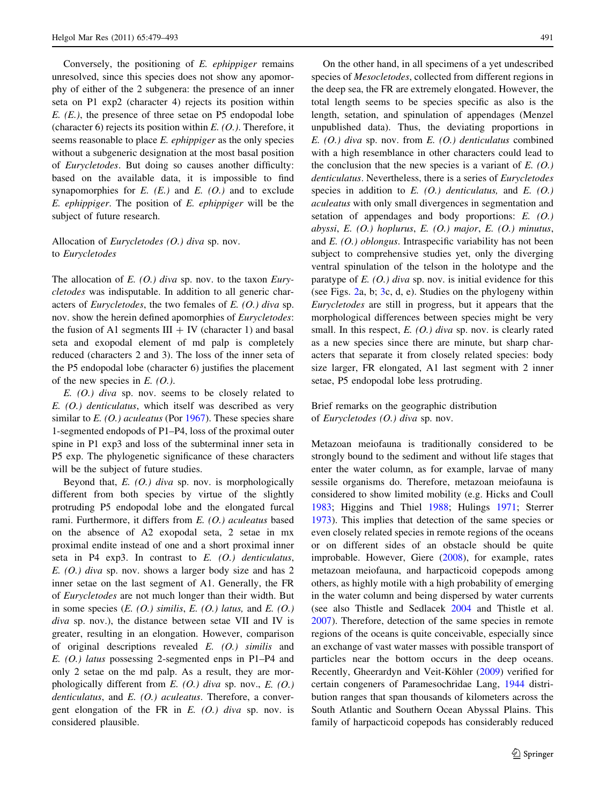Conversely, the positioning of E. ephippiger remains unresolved, since this species does not show any apomorphy of either of the 2 subgenera: the presence of an inner seta on P1 exp2 (character 4) rejects its position within  $E.$  ( $E.$ ), the presence of three setae on P5 endopodal lobe (character 6) rejects its position within  $E$ . (O.). Therefore, it seems reasonable to place *E. ephippiger* as the only species without a subgeneric designation at the most basal position of Eurycletodes. But doing so causes another difficulty: based on the available data, it is impossible to find synapomorphies for  $E$ .  $(E)$  and  $E$ .  $(O)$  and to exclude E. ephippiger. The position of E. ephippiger will be the subject of future research.

# Allocation of Eurycletodes (O.) diva sp. nov. to Eurycletodes

The allocation of E.  $(0)$  diva sp. nov. to the taxon Eurycletodes was indisputable. In addition to all generic characters of *Eurycletodes*, the two females of  $E$ . (O.) diva sp. nov. show the herein defined apomorphies of Eurycletodes: the fusion of A1 segments  $III + IV$  (character 1) and basal seta and exopodal element of md palp is completely reduced (characters 2 and 3). The loss of the inner seta of the P5 endopodal lobe (character 6) justifies the placement of the new species in  $E. (O.).$ 

 $E.$  (O.) diva sp. nov. seems to be closely related to E. (O.) denticulatus, which itself was described as very similar to  $E. (O.)$  aculeatus (Por [1967\)](#page-14-0). These species share 1-segmented endopods of P1–P4, loss of the proximal outer spine in P1 exp3 and loss of the subterminal inner seta in P5 exp. The phylogenetic significance of these characters will be the subject of future studies.

Beyond that,  $E$ . (O.) diva sp. nov. is morphologically different from both species by virtue of the slightly protruding P5 endopodal lobe and the elongated furcal rami. Furthermore, it differs from E. (O.) aculeatus based on the absence of A2 exopodal seta, 2 setae in mx proximal endite instead of one and a short proximal inner seta in P4 exp3. In contrast to  $E$ . (O.) denticulatus,  $E. (O.)$  diva sp. nov. shows a larger body size and has 2 inner setae on the last segment of A1. Generally, the FR of Eurycletodes are not much longer than their width. But in some species  $(E. (O.)$  similis,  $E. (O.)$  latus, and  $E. (O.)$ diva sp. nov.), the distance between setae VII and IV is greater, resulting in an elongation. However, comparison of original descriptions revealed E. (O.) similis and E. (O.) latus possessing 2-segmented enps in P1–P4 and only 2 setae on the md palp. As a result, they are morphologically different from  $E$ . (O.) diva sp. nov.,  $E$ . (O.) denticulatus, and  $E.$  (O.) aculeatus. Therefore, a convergent elongation of the FR in  $E$ . (O.) diva sp. nov. is considered plausible.

On the other hand, in all specimens of a yet undescribed species of Mesocletodes, collected from different regions in the deep sea, the FR are extremely elongated. However, the total length seems to be species specific as also is the length, setation, and spinulation of appendages (Menzel unpublished data). Thus, the deviating proportions in E.  $(0)$  diva sp. nov. from E.  $(0)$  denticulatus combined with a high resemblance in other characters could lead to the conclusion that the new species is a variant of  $E(0)$ . denticulatus. Nevertheless, there is a series of Eurycletodes species in addition to  $E$ . (O.) denticulatus, and  $E$ . (O.) aculeatus with only small divergences in segmentation and setation of appendages and body proportions: E. (O.) abyssi, E. (O.) hoplurus, E. (O.) major, E. (O.) minutus, and E. (O.) oblongus. Intraspecific variability has not been subject to comprehensive studies yet, only the diverging ventral spinulation of the telson in the holotype and the paratype of  $E. (O.)$  diva sp. nov. is initial evidence for this (see Figs. [2](#page-3-0)a, b; [3c](#page-4-0), d, e). Studies on the phylogeny within Eurycletodes are still in progress, but it appears that the morphological differences between species might be very small. In this respect,  $E. (O.)$  diva sp. nov. is clearly rated as a new species since there are minute, but sharp characters that separate it from closely related species: body size larger, FR elongated, A1 last segment with 2 inner setae, P5 endopodal lobe less protruding.

Brief remarks on the geographic distribution of Eurycletodes (O.) diva sp. nov.

Metazoan meiofauna is traditionally considered to be strongly bound to the sediment and without life stages that enter the water column, as for example, larvae of many sessile organisms do. Therefore, metazoan meiofauna is considered to show limited mobility (e.g. Hicks and Coull [1983](#page-13-0); Higgins and Thiel [1988](#page-13-0); Hulings [1971;](#page-13-0) Sterrer [1973](#page-14-0)). This implies that detection of the same species or even closely related species in remote regions of the oceans or on different sides of an obstacle should be quite improbable. However, Giere [\(2008](#page-13-0)), for example, rates metazoan meiofauna, and harpacticoid copepods among others, as highly motile with a high probability of emerging in the water column and being dispersed by water currents (see also Thistle and Sedlacek [2004](#page-14-0) and Thistle et al. [2007](#page-14-0)). Therefore, detection of the same species in remote regions of the oceans is quite conceivable, especially since an exchange of vast water masses with possible transport of particles near the bottom occurs in the deep oceans. Recently, Gheerardyn and Veit-Köhler ([2009\)](#page-13-0) verified for certain congeners of Paramesochridae Lang, [1944](#page-14-0) distribution ranges that span thousands of kilometers across the South Atlantic and Southern Ocean Abyssal Plains. This family of harpacticoid copepods has considerably reduced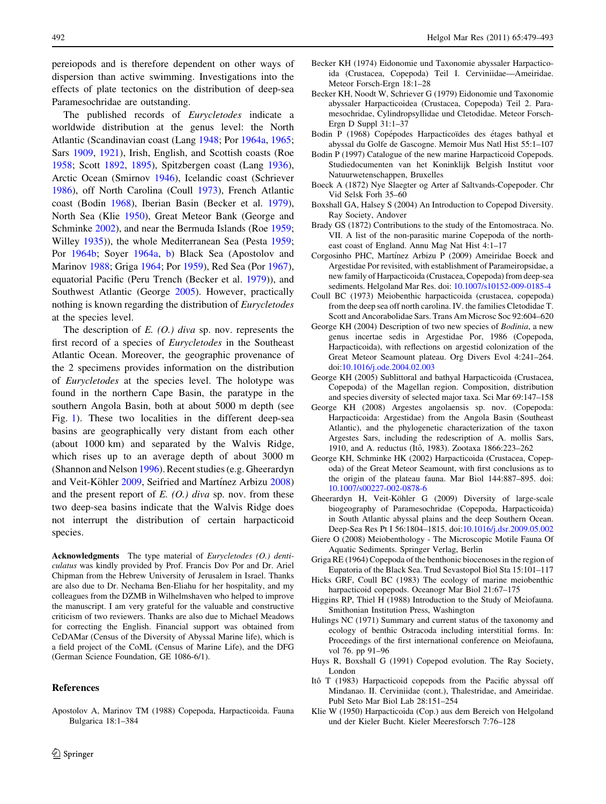<span id="page-13-0"></span>pereiopods and is therefore dependent on other ways of dispersion than active swimming. Investigations into the effects of plate tectonics on the distribution of deep-sea Paramesochridae are outstanding.

The published records of Eurycletodes indicate a worldwide distribution at the genus level: the North Atlantic (Scandinavian coast (Lang [1948](#page-14-0); Por [1964a](#page-14-0), [1965](#page-14-0); Sars [1909,](#page-14-0) [1921\)](#page-14-0), Irish, English, and Scottish coasts (Roe [1958;](#page-14-0) Scott [1892](#page-14-0), [1895\)](#page-14-0), Spitzbergen coast (Lang [1936](#page-14-0)), Arctic Ocean (Smirnov [1946\)](#page-14-0), Icelandic coast (Schriever [1986\)](#page-14-0), off North Carolina (Coull 1973), French Atlantic coast (Bodin 1968), Iberian Basin (Becker et al. 1979), North Sea (Klie 1950), Great Meteor Bank (George and Schminke 2002), and near the Bermuda Islands (Roe [1959](#page-14-0); Willey [1935\)](#page-14-0)), the whole Mediterranean Sea (Pesta [1959](#page-14-0); Por [1964b;](#page-14-0) Soyer [1964a,](#page-14-0) [b](#page-14-0)) Black Sea (Apostolov and Marinov 1988; Griga 1964; Por [1959\)](#page-14-0), Red Sea (Por [1967](#page-14-0)), equatorial Pacific (Peru Trench (Becker et al. 1979)), and Southwest Atlantic (George 2005). However, practically nothing is known regarding the distribution of Eurycletodes at the species level.

The description of  $E$ . (O.) diva sp. nov. represents the first record of a species of *Eurycletodes* in the Southeast Atlantic Ocean. Moreover, the geographic provenance of the 2 specimens provides information on the distribution of Eurycletodes at the species level. The holotype was found in the northern Cape Basin, the paratype in the southern Angola Basin, both at about 5000 m depth (see Fig. [1](#page-1-0)). These two localities in the different deep-sea basins are geographically very distant from each other (about 1000 km) and separated by the Walvis Ridge, which rises up to an average depth of about 3000 m (Shannon and Nelson [1996\)](#page-14-0). Recent studies (e.g. Gheerardyn and Veit-Köhler 2009, Seifried and Martínez Arbizu [2008\)](#page-14-0) and the present report of  $E$ . (O.) diva sp. nov. from these two deep-sea basins indicate that the Walvis Ridge does not interrupt the distribution of certain harpacticoid species.

Acknowledgments The type material of Eurycletodes (O.) denticulatus was kindly provided by Prof. Francis Dov Por and Dr. Ariel Chipman from the Hebrew University of Jerusalem in Israel. Thanks are also due to Dr. Nechama Ben-Eliahu for her hospitality, and my colleagues from the DZMB in Wilhelmshaven who helped to improve the manuscript. I am very grateful for the valuable and constructive criticism of two reviewers. Thanks are also due to Michael Meadows for correcting the English. Financial support was obtained from CeDAMar (Census of the Diversity of Abyssal Marine life), which is a field project of the CoML (Census of Marine Life), and the DFG (German Science Foundation, GE 1086-6/1).

Apostolov A, Marinov TM (1988) Copepoda, Harpacticoida. Fauna

#### References

 $\textcircled{2}$  Springer

Bulgarica 18:1–384

- Becker KH (1974) Eidonomie und Taxonomie abyssaler Harpacticoida (Crustacea, Copepoda) Teil I. Cerviniidae—Ameiridae. Meteor Forsch-Ergn 18:1–28
- Becker KH, Noodt W, Schriever G (1979) Eidonomie und Taxonomie abyssaler Harpacticoidea (Crustacea, Copepoda) Teil 2. Paramesochridae, Cylindropsyllidae und Cletodidae. Meteor Forsch-Ergn D Suppl 31:1–37
- Bodin P (1968) Copépodes Harpacticoïdes des étages bathyal et abyssal du Golfe de Gascogne. Memoir Mus Natl Hist 55:1–107
- Bodin P (1997) Catalogue of the new marine Harpacticoid Copepods. Studiedocumenten van het Koninklijk Belgish Institut voor Natuurwetenschappen, Bruxelles
- Boeck A (1872) Nye Slaegter og Arter af Saltvands-Copepoder. Chr Vid Selsk Forh 35–60
- Boxshall GA, Halsey S (2004) An Introduction to Copepod Diversity. Ray Society, Andover
- Brady GS (1872) Contributions to the study of the Entomostraca. No. VII. A list of the non-parasitic marine Copepoda of the northeast coast of England. Annu Mag Nat Hist 4:1–17
- Corgosinho PHC, Martínez Arbizu P (2009) Ameiridae Boeck and Argestidae Por revisited, with establishment of Parameiropsidae, a new family of Harpacticoida (Crustacea, Copepoda) from deep-sea sediments. Helgoland Mar Res. doi: [10.1007/s10152-009-0185-4](http://dx.doi.org/10.1007/s10152-009-0185-4)
- Coull BC (1973) Meiobenthic harpacticoida (crustacea, copepoda) from the deep sea off north carolina. IV. the families Cletodidae T. Scott and Ancorabolidae Sars. Trans Am Microsc Soc 92:604–620
- George KH (2004) Description of two new species of Bodinia, a new genus incertae sedis in Argestidae Por, 1986 (Copepoda, Harpacticoida), with reflections on argestid colonization of the Great Meteor Seamount plateau. Org Divers Evol 4:241–264. doi[:10.1016/j.ode.2004.02.003](http://dx.doi.org/10.1016/j.ode.2004.02.003)
- George KH (2005) Sublittoral and bathyal Harpacticoida (Crustacea, Copepoda) of the Magellan region. Composition, distribution and species diversity of selected major taxa. Sci Mar 69:147–158
- George KH (2008) Argestes angolaensis sp. nov. (Copepoda: Harpacticoida: Argestidae) from the Angola Basin (Southeast Atlantic), and the phylogenetic characterization of the taxon Argestes Sars, including the redescription of A. mollis Sars, 1910, and A. reductus (Itô, 1983). Zootaxa 1866:223-262
- George KH, Schminke HK (2002) Harpacticoida (Crustacea, Copepoda) of the Great Meteor Seamount, with first conclusions as to the origin of the plateau fauna. Mar Biol 144:887–895. doi: [10.1007/s00227-002-0878-6](http://dx.doi.org/10.1007/s00227-002-0878-6)
- Gheerardyn H, Veit-Köhler G (2009) Diversity of large-scale biogeography of Paramesochridae (Copepoda, Harpacticoida) in South Atlantic abyssal plains and the deep Southern Ocean. Deep-Sea Res Pt I 56:1804–1815. doi[:10.1016/j.dsr.2009.05.002](http://dx.doi.org/10.1016/j.dsr.2009.05.002)
- Giere O (2008) Meiobenthology The Microscopic Motile Fauna Of Aquatic Sediments. Springer Verlag, Berlin
- Griga RE (1964) Copepoda of the benthonic biocenoses in the region of Eupatoria of the Black Sea. Trud Sevastopol Biol Sta 15:101–117
- Hicks GRF, Coull BC (1983) The ecology of marine meiobenthic harpacticoid copepods. Oceanogr Mar Biol 21:67–175
- Higgins RP, Thiel H (1988) Introduction to the Study of Meiofauna. Smithonian Institution Press, Washington
- Hulings NC (1971) Summary and current status of the taxonomy and ecology of benthic Ostracoda including interstitial forms. In: Proceedings of the first international conference on Meiofauna, vol 76. pp 91–96
- Huys R, Boxshall G (1991) Copepod evolution. The Ray Society, London
- Itô T (1983) Harpacticoid copepods from the Pacific abyssal off Mindanao. II. Cerviniidae (cont.), Thalestridae, and Ameiridae. Publ Seto Mar Biol Lab 28:151–254
- Klie W (1950) Harpacticoida (Cop.) aus dem Bereich von Helgoland und der Kieler Bucht. Kieler Meeresforsch 7:76–128